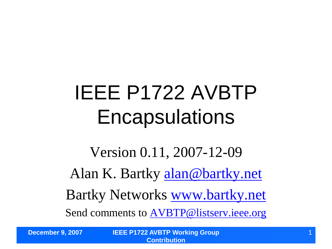## IEEE P1722 AVBTP **Encapsulations**

Version 0.11, 2007-12-09 Alan K. Bartky [alan@bartky.net](mailto:alan@bartky.net) Bartky Networks [www.bartky.net](http://www.bartky.net/) Send comments to [AVBTP@listserv.ieee.org](mailto:AVBTP@listserv.ieee.org)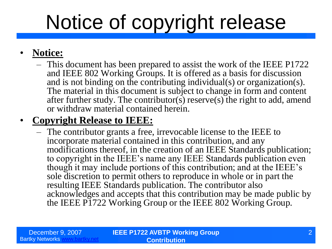## Notice of copyright release

#### • **Notice:**

– This document has been prepared to assist the work of the IEEE P1722 and IEEE 802 Working Groups. It is offered as a basis for discussion and is not binding on the contributing individual(s) or organization(s). The material in this document is subject to change in form and content after further study. The contributor(s) reserve(s) the right to add, amend or withdraw material contained herein.

#### • **Copyright Release to IEEE:**

– The contributor grants a free, irrevocable license to the IEEE to incorporate material contained in this contribution, and any modifications thereof, in the creation of an IEEE Standards publication; to copyright in the IEEE's name any IEEE Standards publication even though it may include portions of this contribution; and at the IEEE's sole discretion to permit others to reproduce in whole or in part the resulting IEEE Standards publication. The contributor also acknowledges and accepts that this contribution may be made public by the IEEE P1722 Working Group or the IEEE 802 Working Group.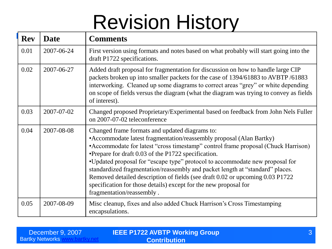## Revision History

| <b>Rev</b> | <b>Date</b> | <b>Comments</b>                                                                                                                                                                                                                                                                                                                                                                                                                                                                                                                                                                                                        |
|------------|-------------|------------------------------------------------------------------------------------------------------------------------------------------------------------------------------------------------------------------------------------------------------------------------------------------------------------------------------------------------------------------------------------------------------------------------------------------------------------------------------------------------------------------------------------------------------------------------------------------------------------------------|
| 0.01       | 2007-06-24  | First version using formats and notes based on what probably will start going into the<br>draft P1722 specifications.                                                                                                                                                                                                                                                                                                                                                                                                                                                                                                  |
| 0.02       | 2007-06-27  | Added draft proposal for fragmentation for discussion on how to handle large CIP<br>packets broken up into smaller packets for the case of 1394/61883 to AVBTP/61883<br>interworking. Cleaned up some diagrams to correct areas "grey" or white depending<br>on scope of fields versus the diagram (what the diagram was trying to convey as fields<br>of interest).                                                                                                                                                                                                                                                   |
| 0.03       | 2007-07-02  | Changed proposed Proprietary/Experimental based on feedback from John Nels Fuller<br>on 2007-07-02 teleconference                                                                                                                                                                                                                                                                                                                                                                                                                                                                                                      |
| 0.04       | 2007-08-08  | Changed frame formats and updated diagrams to:<br>• Accommodate latest fragmentation/reassembly proposal (Alan Bartky)<br>• Accommodate for latest "cross timestamp" control frame proposal (Chuck Harrison)<br>•Prepare for draft 0.03 of the P1722 specification.<br>•Updated proposal for "escape type" protocol to accommodate new proposal for<br>standardized fragmentation/reassembly and packet length at "standard" places.<br>Removed detailed description of fields (see draft 0.02 or upcoming 0.03 P1722<br>specification for those details) except for the new proposal for<br>fragmentation/reassembly. |
| 0.05       | 2007-08-09  | Misc cleanup, fixes and also added Chuck Harrison's Cross Timestamping<br>encapsulations.                                                                                                                                                                                                                                                                                                                                                                                                                                                                                                                              |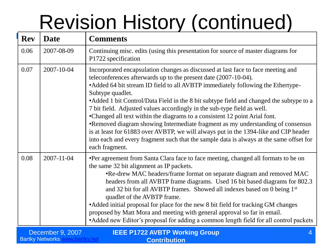# Revision History (continued)

| <b>Rev</b> | <b>Date</b> | <b>Comments</b>                                                                                                                                                                                                                                                                                                                                                                                                                                                                                                                                                                                                                                                                                                                                                                                          |
|------------|-------------|----------------------------------------------------------------------------------------------------------------------------------------------------------------------------------------------------------------------------------------------------------------------------------------------------------------------------------------------------------------------------------------------------------------------------------------------------------------------------------------------------------------------------------------------------------------------------------------------------------------------------------------------------------------------------------------------------------------------------------------------------------------------------------------------------------|
| 0.06       | 2007-08-09  | Continuing misc. edits (using this presentation for source of master diagrams for<br>P1722 specification                                                                                                                                                                                                                                                                                                                                                                                                                                                                                                                                                                                                                                                                                                 |
| 0.07       | 2007-10-04  | Incorporated encapsulation changes as discussed at last face to face meeting and<br>teleconferences afterwards up to the present date (2007-10-04).<br>• Added 64 bit stream ID field to all AVBTP immediately following the Ethertype-<br>Subtype quadlet.<br>• Added 1 bit Control/Data Field in the 8 bit subtype field and changed the subtype to a<br>7 bit field. Adjusted values accordingly in the sub-type field as well.<br>•Changed all text within the diagrams to a consistent 12 point Arial font.<br>•Removed diagram showing Intermediate fragment as my understanding of consensus<br>is at least for 61883 over AVBTP, we will always put in the 1394-like and CIP header<br>into each and every fragment such that the sample data is always at the same offset for<br>each fragment. |
| 0.08       | 2007-11-04  | •Per agreement from Santa Clara face to face meeting, changed all formats to be on<br>the same 32 bit alignment as IP packets.<br>•Re-drew MAC headers/frame format on separate diagram and removed MAC<br>headers from all AVBTP frame diagrams. Used 16 bit based diagrams for 802.3<br>and 32 bit for all AVBTP frames. Showed all indexes based on 0 being 1st<br>quadlet of the AVBTP frame.<br>• Added initial proposal for place for the new 8 bit field for tracking GM changes<br>proposed by Matt Mora and meeting with general approval so far in email.<br>• Added new Editor's proposal for adding a common length field for all control packets                                                                                                                                            |

| December 9, 2007       | <b>IEEE P1722 AVBTP Working Group</b> |
|------------------------|---------------------------------------|
| <b>Bartky Networks</b> | <b>Contribution</b>                   |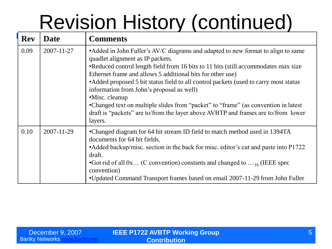## Revision History (continued)

| <b>Rev</b> | <b>Date</b> | <b>Comments</b>                                                                                                                                                                                                                                                                                                                                                                                                                                                                                                                                                                                                         |
|------------|-------------|-------------------------------------------------------------------------------------------------------------------------------------------------------------------------------------------------------------------------------------------------------------------------------------------------------------------------------------------------------------------------------------------------------------------------------------------------------------------------------------------------------------------------------------------------------------------------------------------------------------------------|
| 0.09       | 2007-11-27  | • Added in John Fuller's AV/C diagrams and adapted to new format to align to same<br>quadlet alignment as IP packets.<br>•Reduced control length field from 16 bits to 11 bits (still accommodates max size<br>Ethernet frame and allows 5 additional bits for other use)<br>• Added proposed 5 bit status field to all control packets (used to carry most status<br>information from John's proposal as well)<br>•Misc. cleanup<br>•Changed text on multiple slides from "packet" to "frame" (as convention in latest<br>draft is "packets" are to/from the layer above AVBTP and frames are to/from lower<br>layers. |
| 0.10       | 2007-11-29  | •Changed diagram for 64 bit stream ID field to match method used in 1394TA<br>documents for 64 bit fields.<br>•Added backup/misc. section in the back for misc. editor's cut and paste into P1722<br>draft.<br>• Got rid of all $0x$ (C convention) constants and changed to $\dots$ 6. (IEEE spec<br>convention)<br>•Updated Command Transport frames based on email 2007-11-29 from John Fuller                                                                                                                                                                                                                       |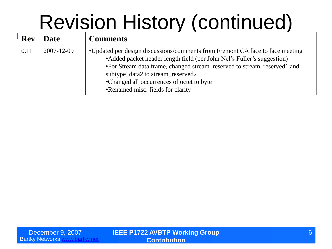## Revision History (continued)

| <b>Rev</b> | Date       | <b>Comments</b>                                                                                                                                                                                                                                                                                                                                            |
|------------|------------|------------------------------------------------------------------------------------------------------------------------------------------------------------------------------------------------------------------------------------------------------------------------------------------------------------------------------------------------------------|
| 0.11       | 2007-12-09 | •Updated per design discussions/comments from Fremont CA face to face meeting<br>• Added packet header length field (per John Nel's Fuller's suggestion)<br>•For Stream data frame, changed stream_reserved to stream_reserved1 and<br>subtype_data2 to stream_reserved2<br>•Changed all occurrences of octet to byte<br>•Renamed misc. fields for clarity |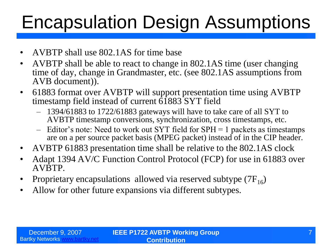### Encapsulation Design Assumptions

- AVBTP shall use 802.1AS for time base
- AVBTP shall be able to react to change in 802.1AS time (user changing time of day, change in Grandmaster, etc. (see 802.1AS assumptions from AVB document)).
- 61883 format over AVBTP will support presentation time using AVBTP timestamp field instead of current  $\overline{61883}$  SYT field
	- 1394/61883 to 1722/61883 gateways will have to take care of all SYT to AVBTP timestamp conversions, synchronization, cross timestamps, etc.
	- Editor's note: Need to work out SYT field for SPH = 1 packets as timestamps are on a per source packet basis (MPEG packet) instead of in the CIP header.
- AVBTP 61883 presentation time shall be relative to the 802.1AS clock
- Adapt 1394 AV/C Function Control Protocol (FCP) for use in 61883 over AVBTP.
- Proprietary encapsulations allowed via reserved subtype  $(7F_{16})$
- Allow for other future expansions via different subtypes.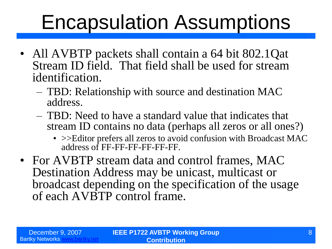### Encapsulation Assumptions

- All AVBTP packets shall contain a 64 bit 802.1Qat Stream ID field. That field shall be used for stream identification.
	- TBD: Relationship with source and destination MAC address.
	- TBD: Need to have a standard value that indicates that stream ID contains no data (perhaps all zeros or all ones?)
		- > > Editor prefers all zeros to avoid confusion with Broadcast MAC address of FF-FF-FF-FF-FF-FF.
- For AVBTP stream data and control frames, MAC Destination Address may be unicast, multicast or broadcast depending on the specification of the usage of each AVBTP control frame.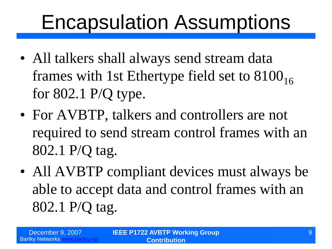### Encapsulation Assumptions

- All talkers shall always send stream data frames with 1st Ethertype field set to  $8100_{16}$ for 802.1 P/Q type.
- For AVBTP, talkers and controllers are not required to send stream control frames with an 802.1 P/Q tag.
- All AVBTP compliant devices must always be able to accept data and control frames with an 802.1 P/Q tag.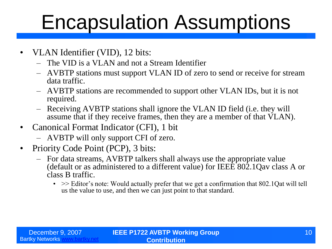### Encapsulation Assumptions

- VLAN Identifier (VID), 12 bits:
	- The VID is a VLAN and not a Stream Identifier
	- AVBTP stations must support VLAN ID of zero to send or receive for stream data traffic.
	- AVBTP stations are recommended to support other VLAN IDs, but it is not required.
	- Receiving AVBTP stations shall ignore the VLAN ID field (i.e. they will assume that if they receive frames, then they are a member of that VLAN).
- Canonical Format Indicator (CFI), 1 bit
	- AVBTP will only support CFI of zero.
- Priority Code Point (PCP), 3 bits:
	- For data streams, AVBTP talkers shall always use the appropriate value (default or as administered to a different value) for IEEE 802.1Qav class A or class B traffic.
		- $\bullet \Rightarrow$  Editor's note: Would actually prefer that we get a confirmation that 802.1Qat will tell us the value to use, and then we can just point to that standard.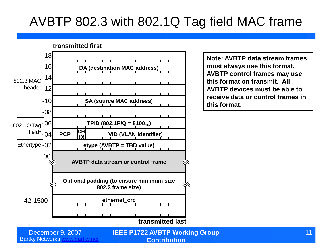### AVBTP 802.3 with 802.1Q Tag field MAC frame



**Note: AVBTP data stream frames must always use this format. AVBTP control frames may use this format on transmit. All AVBTP devices must be able to receive data or control frames in this format.**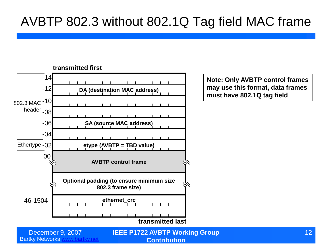#### AVBTP 802.3 without 802.1Q Tag field MAC frame



**Note: Only AVBTP control frames may use this format, data frames must have 802.1Q tag field**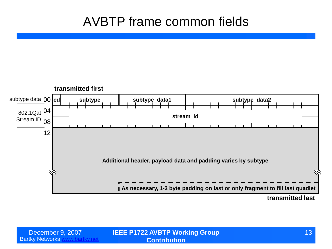#### AVBTP frame common fields

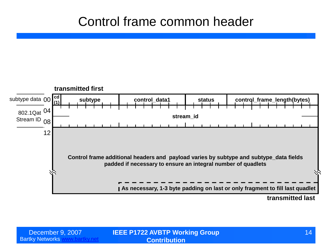#### Control frame common header

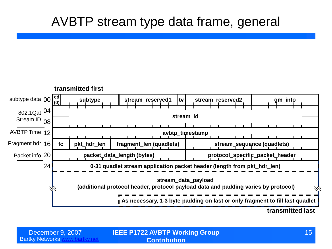#### AVBTP stream type data frame, general

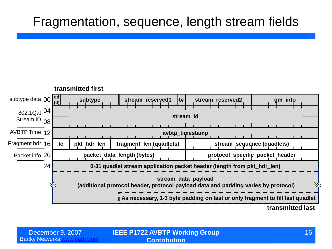#### Fragmentation, sequence, length stream fields

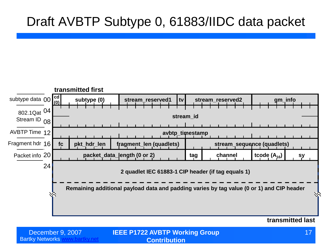#### Draft AVBTP Subtype 0, 61883/IIDC data packet



#### **transmitted last**

**IEEE P1722 AVBTP Working Group**  December 9, 2007 17 **Contribution**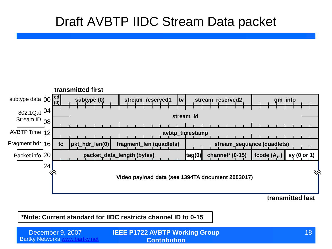#### Draft AVBTP IIDC Stream Data packet



**transmitted last**

**\*Note: Current standard for IIDC restricts channel ID to 0-15**

Bartky Networks [www.bartky.net](http://www.bartky.net/) **IEEE P1722 AVBTP Working Group**  December 9, 2007 18 **Contribution**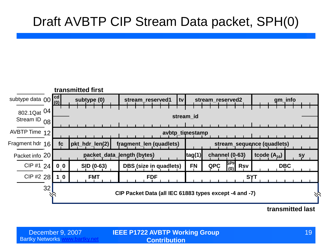#### Draft AVBTP CIP Stream Data packet, SPH(0)



**transmitted last**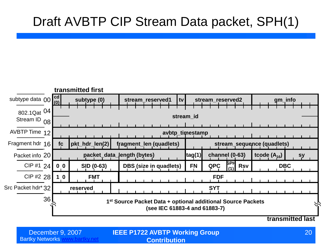### Draft AVBTP CIP Stream Data packet, SPH(1)



Bartky Networks [www.bartky.net](http://www.bartky.net/)

**IEEE P1722 AVBTP Working Group**  December 9, 2007 20 **Contribution**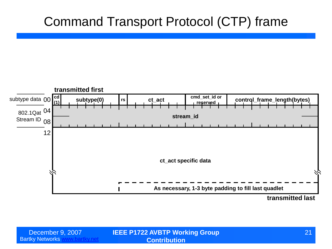#### Command Transport Protocol (CTP) frame



**transmitted last**

Bartky Networks [www.bartky.net](http://www.bartky.net/)

**IEEE P1722 AVBTP Working Group**  December 9, 2007 21 **Contribution**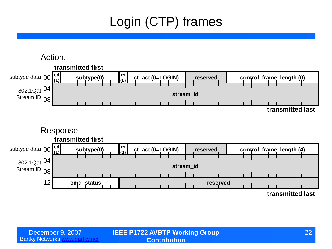### Login (CTP) frames

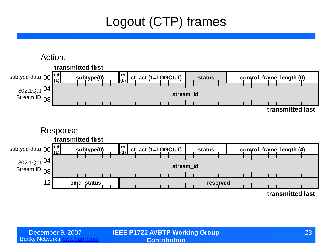### Logout (CTP) frames

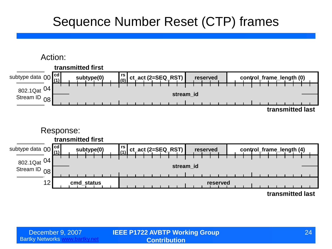#### Sequence Number Reset (CTP) frames

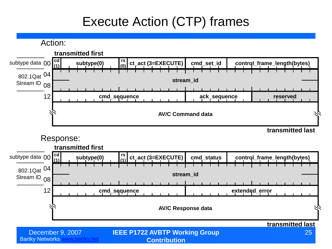### Execute Action (CTP) frames

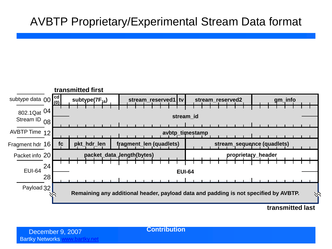#### AVBTP Proprietary/Experimental Stream Data format



**transmitted last**

**Contribution**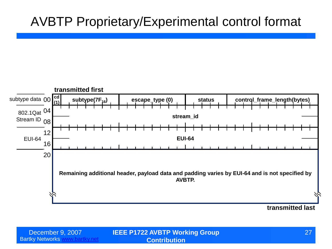#### AVBTP Proprietary/Experimental control format



**IEEE P1722 AVBTP Working Group**  December 9, 2007 27 **Contribution**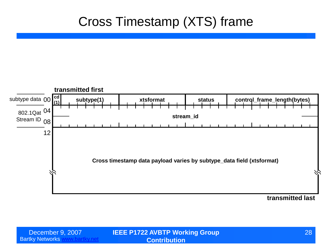#### Cross Timestamp (XTS) frame



**transmitted last**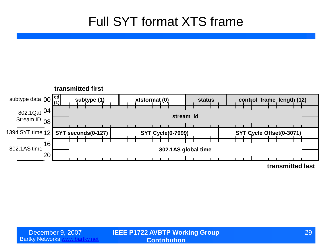#### Full SYT format XTS frame

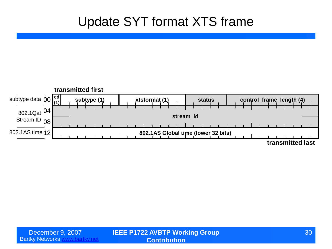#### Update SYT format XTS frame

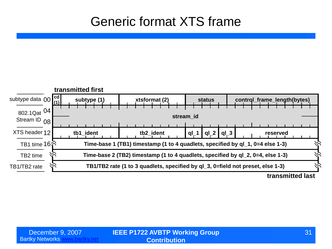#### Generic format XTS frame

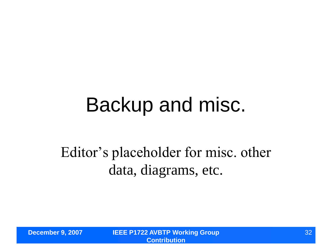### Backup and misc.

### Editor's placeholder for misc. other data, diagrams, etc.

**December 9, 2007 IEEE P1722 AVBTP Working Group Contribution**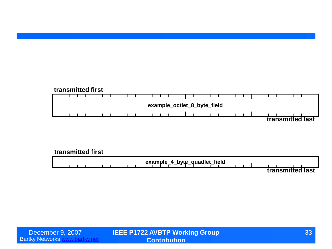#### **transmitted first** ┱ ┱ **example\_octlet\_8\_byte\_field transmitted last**

#### **transmitted first**

**example\_4\_byte\_quadlet\_field transmitted last**